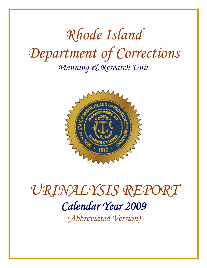# *Rhode Island Department of Corrections Planning & Research Unit*



# *URINALYSIS REPORT Calendar Year 2009 (Abbreviated Version)*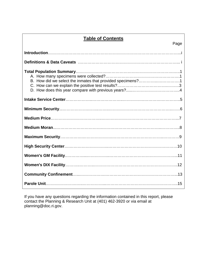## **Table of Contents**

| Page                                                       |
|------------------------------------------------------------|
|                                                            |
|                                                            |
| B. How did we select the inmates that provided specimens?1 |
|                                                            |
|                                                            |
|                                                            |
|                                                            |
|                                                            |
|                                                            |
|                                                            |
|                                                            |
|                                                            |
|                                                            |

If you have any questions regarding the information contained in this report, please contact the Planning & Research Unit at (401) 462-3920 or via email at planning@doc.ri.gov.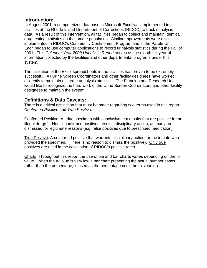#### **Introduction:**

In August 2001, a computerized database in Microsoft Excel was implemented in all facilities at the Rhode Island Department of Corrections (RIDOC) to track urinalysis data. As a result of this intervention, all facilities began to collect and maintain identical drug testing statistics on the inmate population. Similar improvements were also implemented in RIDOC's Community Confinement Program and in the Parole Unit. Each began to use computer applications to record urinalysis statistics during the Fall of 2001. This *Calendar Year 2009 Urinalysis Report* serves as the eighth full year of information collected by the facilities and other departmental programs under this system.

The utilization of the Excel spreadsheets in the facilities has proven to be extremely successful. All Urine Screen Coordinators and other facility designees have worked diligently to maintain accurate urinalysis statistics. The Planning and Research Unit would like to recognize the hard work of the Urine Screen Coordinators and other facility designees to maintain the system.

#### **Definitions & Data Caveats:**

There is a critical distinction that must be made regarding two terms used in this report: *Confirmed Positive* and *True Positive*.

Confirmed Positive: A urine specimen with conclusive test results that are positive for an illegal drug(s). Not all confirmed positives result in disciplinary action, as many are dismissed for legitimate reasons (e.g. false positives due to prescribed medication).

True Positive: A confirmed positive that warrants disciplinary action for the inmate who provided the specimen. (There is no reason to dismiss the positive). Only true positives are used in the calculation of RIDOC's positive rates.

Charts: Throughout this report the use of pie and bar charts varies depending on the nvalue. When the n-value is very low a bar chart presenting the actual number cases, rather than the percentage, is used as the percentage could be misleading.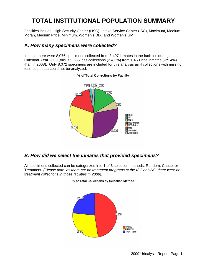# **TOTAL INSTITUTIONAL POPULATION SUMMARY**

Facilities include: High Security Center (HSC), Intake Service Center (ISC), Maximum, Medium Moran, Medium Price, Minimum, Women's DIX, and Women's GM.

#### **A.** *How many specimens were collected?*

In total, there were 8,076 specimens collected from 3,497 inmates in the facilities during Calendar Year 2009 (this is 9,665 less collections (-54.5%) from 1,459 less inmates (-29.4%) than in 2008). Only 8,072 specimens are included for this analysis as 4 collections with missing test result data could not be analyzed.



#### % of Total Collections by Facility

#### *B. How did we select the inmates that provided specimens?*

All specimens collected can be categorized into 1 of 3 selection methods: Random, Cause, or Treatment. *(Please note: as there are no treatment programs at the ISC or HSC, there were no treatment collections in those facilities in 2009).*



#### % of Total Collections by Selection Method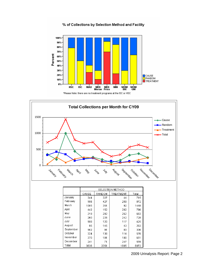



|           | SELECTION METHOD |        |           |       |  |  |
|-----------|------------------|--------|-----------|-------|--|--|
|           | CAUSE            | RANDOM | TREATMENT | Total |  |  |
| Januarv   | 344              | 327    | 44        | 715   |  |  |
| Februarv  | 186              | 427    | 259       | 872   |  |  |
| March     | 1005             | 351    | 92        | 1448  |  |  |
| April     | 442              | 152    | 202       | 796   |  |  |
| Mav       | 219              | 202    | 262       | 683   |  |  |
| June      | 260              | 226    | 242       | 728   |  |  |
| July      | 188              | 120    | 117       | 425   |  |  |
| August    | 95               | 145    | 43        | 283   |  |  |
| September | 162              | 91     | 83        | 336   |  |  |
| October   | 324              | 138    | 114       | 576   |  |  |
| November  | 370              | 101    | 180       | 651   |  |  |
| December  | 241              | 71     | 247       | 559   |  |  |
| Total     | 3836             | 2351   | 1885      | 8072  |  |  |

2009 Urinalysis Report: Page 2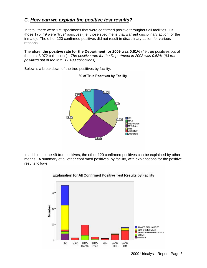## *C. How can we explain the positive test results?*

In total, there were 175 specimens that were confirmed positive throughout all facilities. Of those 175, 49 were "true" positives (i.e. those specimens that warrant disciplinary action for the inmate). The other 120 confirmed positives did not result in disciplinary action for various reasons.

Therefore, **the positive rate for the Department for 2009 was 0.61%** (49 true positives out of the total 8,072 collections). *The positive rate for the Department in 2008 was 0.53% (93 true positives out of the total 17,499 collections).* 

% of True Positives by Facility



Below is a breakdown of the true positives by facility.

In addition to the 49 true positives, the other 120 confirmed positives can be explained by other means. A summary of all other confirmed positives, by facility, with explanations for the positive results follows:



#### Explanation for All Confirmed Positive Test Results by Facility

2009 Urinalysis Report: Page 3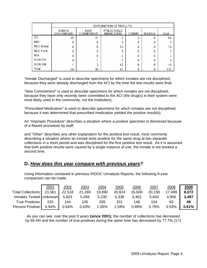|            | EXPLANATION OF RESULTS             |                          |                                 |       |                |       |  |  |
|------------|------------------------------------|--------------------------|---------------------------------|-------|----------------|-------|--|--|
|            | <b>INMATE</b><br><b>DISCHARGED</b> | <b>NEW</b><br>COMMITMENT | PRESCRIBED<br><b>MEDICATION</b> | OTHER | <b>MISSING</b> | Total |  |  |
| <b>ISC</b> | 25                                 | 31                       |                                 | 3     | 8              | 69    |  |  |
| MAX        | n                                  | 0                        | 3                               | Ω     | n              |       |  |  |
| MED Moran  |                                    | 0                        | 13                              | 6     | Ω              | 19    |  |  |
| MED Price  |                                    | Ω                        | 3                               | Ω     | n              |       |  |  |
| MIN        |                                    | 0                        | o                               | 0     | n              |       |  |  |
| WOM DIX    |                                    |                          |                                 | 0     | Ω              | 8     |  |  |
| WOM GM     |                                    | 3                        | 12                              | 0     | n              | 16    |  |  |
| Total      | 26.                                | 35                       | 42                              | 9     | 8              | 120   |  |  |

"Inmate Discharged" is used to describe specimens for which inmates are not disciplined, because they were already discharged from the ACI by the time the test results were final;

"New Commitment" is used to describe specimens for which inmates are not disciplined, because they have only recently been committed to the ACI (the drug(s) in their system were most likely used in the community, not the institution);

"Prescribed Medication" is used to describe specimens for which inmates are not disciplined, because it was determined that prescribed medication yielded the positive result(s);

An "Improper Procedure" describes a situation where a positive specimen is dismissed because of a flawed procedure by staff;

and "Other" describes any other explanation for the positive test result, most commonly describing a situation where an inmate tests positive for the same drug at two separate collections in a short period and was disciplined for the first positive test result. As it is assumed that both positive results were caused by a single instance of use, the inmate is not booked a second time.

#### **D.** *How does this year compare with previous years?*

Using information contained in previous RIDOC Urinalysis Reports, the following 9-year comparison can be made:

|                           | 2001 | 2002   | 2003   | 2004   | 2005   | 2006     | 2007   | 2008     | 2009  |
|---------------------------|------|--------|--------|--------|--------|----------|--------|----------|-------|
| Total Collections: 23,361 |      | 22,518 | 21,269 | 19,890 | 20,824 | 16,606   | 20,158 | 17,499   | 8,072 |
| Inmates Tested: Unknown   |      | 5,823  | 5,594  | 5,230  | 5,338  | 4,462    | 5,604  | 4,956    | 3,497 |
| True Positives: 220       |      | 144    | 135    | 209    | 331    | 148      | 154    | 93       | 49    |
| Percent Positive: 0.94%   |      | 0.64%  | 0.63%  | 1.05%  | 1.59%  | $0.89\%$ | 0.76%  | $0.53\%$ | 0.61% |

As you can see, over the past 9 years **(since 2001)**, the number of collections has decreased by 65.4% and the number of true positives during the same time has decreased by 77.7% (171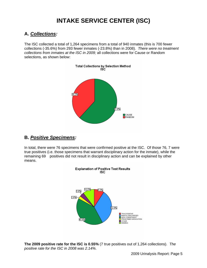# **INTAKE SERVICE CENTER (ISC)**

#### **A.** *Collections:*

The ISC collected a total of 1,264 specimens from a total of 940 inmates (this is 700 fewer collections (-35.6%) from 293 fewer inmates (-23.8%) than in 2008). *There were no treatment collections from inmates at the ISC in 2009;* all collections were for Cause or Random selections, as shown below:



#### **B.** *Positive Specimens:*

In total, there were 76 specimens that were confirmed positive at the ISC. Of those 76, 7 were true positives (i.e. those specimens that warrant disciplinary action for the inmate), while the remaining 69 positives did not result in disciplinary action and can be explained by other means.



**The 2009 positive rate for the ISC is 0.55%** (7 true positives out of 1,264 collections). *The positive rate for the ISC in 2008 was 2.14%.*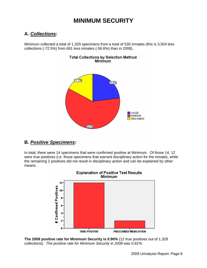## **MINIMUM SECURITY**

## **A.** *Collections:*

Minimum collected a total of 1,329 specimens from a total of 530 inmates (this is 3,504 less collections (-72.5%) from 691 less inmates (-56.6%) than in 2008).



#### **B.** *Positive Specimens:*

In total, there were 14 specimens that were confirmed positive at Minimum. Of those 14, 12 were true positives (i.e. those specimens that warrant disciplinary action for the inmate), while the remaining 2 positives did not result in disciplinary action and can be explained by other means.





**The 2009 positive rate for Minimum Security is 0.90%** (12 true positives out of 1,329 collections). *The positive rate for Minimum Security in 2008 was 0.81%.*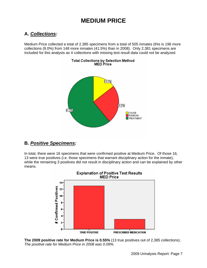## **MEDIUM PRICE**

## **A.** *Collections:*

Medium Price collected a total of 2,385 specimens from a total of 505 inmates (this is 196 more collections (9.0%) from 148 more inmates (41.5%) than in 2008). Only 2,381 specimens are included for this analysis as 4 collections with missing test result data could not be analyzed.



#### **B.** *Positive Specimens:*

In total, there were 16 specimens that were confirmed positive at Medium Price. Of those 16, 13 were true positives (i.e. those specimens that warrant disciplinary action for the inmate), while the remaining 3 positives did not result in disciplinary action and can be explained by other means.



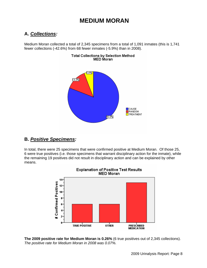## **MEDIUM MORAN**

#### **A.** *Collections:*

Medium Moran collected a total of 2,345 specimens from a total of 1,091 inmates (this is 1,741 fewer collections (-42.6%) from 68 fewer inmates (-5.9%) than in 2008).



# Total Collections by Selection Method<br>MED Moran

#### **B.** *Positive Specimens:*

In total, there were 25 specimens that were confirmed positive at Medium Moran. Of those 25, 6 were true positives (i.e. those specimens that warrant disciplinary action for the inmate), while the remaining 19 positives did not result in disciplinary action and can be explained by other means.



**The 2009 positive rate for Medium Moran is 0.26%** (6 true positives out of 2,345 collections). *The positive rate for Medium Moran in 2008 was 0.07%.*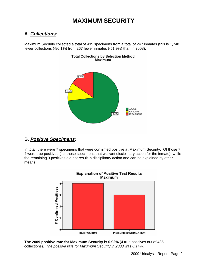## **MAXIMUM SECURITY**

### **A.** *Collections:*

Maximum Security collected a total of 435 specimens from a total of 247 inmates (this is 1,748 fewer collections (-80.1%) from 267 fewer inmates (-51.9%) than in 2008).

Total Collections by Selection Method



#### **B.** *Positive Specimens:*

In total, there were 7 specimens that were confirmed positive at Maximum Security. Of those 7, 4 were true positives (i.e. those specimens that warrant disciplinary action for the inmate), while the remaining 3 positives did not result in disciplinary action and can be explained by other means.



**The 2009 positive rate for Maximum Security is 0.92%** (4 true positives out of 435 collections). *The positive rate for Maximum Security in 2008 was 0.14%.*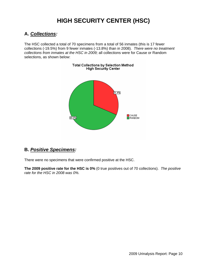# **HIGH SECURITY CENTER (HSC)**

#### **A.** *Collections:*

The HSC collected a total of 70 specimens from a total of 56 inmates (this is 17 fewer collections (-19.5%) from 9 fewer inmates (-13.8%) than in 2008). *There were no treatment collections from inmates at the HSC in 2009;* all collections were for Cause or Random selections, as shown below:



#### **B.** *Positive Specimens:*

There were no specimens that were confirmed positive at the HSC.

**The 2009 positive rate for the HSC is 0%** (0 true positives out of 70 collections). *The positive rate for the HSC in 2008 was 0%.*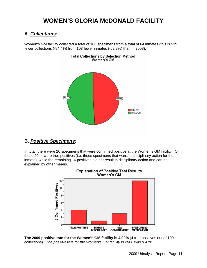## **WOMEN'S GLORIA McDONALD FACILITY**

#### **A.** *Collections:*

Women's GM facility collected a total of 100 specimens from a total of 64 inmates (this is 539 fewer collections (-84.4%) from 108 fewer inmates (-62.8%) than in 2008).



#### Total Collections by Selection Method Women's GM

## **B.** *Positive Specimens:*

In total, there were 20 specimens that were confirmed positive at the Women's GM facility. Of those 20, 4 were true positives (i.e. those specimens that warrant disciplinary action for the inmate), while the remaining 16 positives did not result in disciplinary action and can be explained by other means.



**Explanation of Positive Test Results** 

**The 2009 positive rate for the Women's GM facility is 4.00%** (4 true positives out of 100 collections). *The positive rate for the Women's GM facility in 2008 was 0.47%.*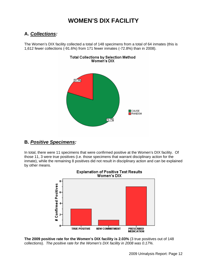## **WOMEN'S DIX FACILITY**

#### **A.** *Collections:*

The Women's DIX facility collected a total of 148 specimens from a total of 64 inmates (this is 1,612 fewer collections (-91.6%) from 171 fewer inmates (-72.8%) than in 2008).



#### **B.** *Positive Specimens:*

In total, there were 11 specimens that were confirmed positive at the Women's DIX facility. Of those 11, 3 were true positives (i.e. those specimens that warrant disciplinary action for the inmate), while the remaining 8 positives did not result in disciplinary action and can be explained by other means.



**The 2009 positive rate for the Women's DIX facility is 2.03%** (3 true positives out of 148 collections). *The positive rate for the Women's DIX facility in 2008 was 0.17%.*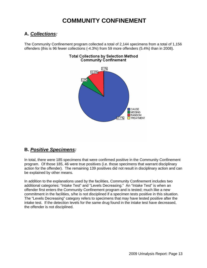## **COMMUNITY CONFINEMENT**

#### **A.** *Collections:*

The Community Confinement program collected a total of 2,144 specimens from a total of 1,156 offenders (this is 96 fewer collections (-4.3%) from 59 more offenders (5.4%) than in 2008).



#### **Total Collections by Selection Method Community Confinement**

#### **B.** *Positive Specimens:*

In total, there were 185 specimens that were confirmed positive in the Community Confinement program. Of those 185, 46 were true positives (i.e. those specimens that warrant disciplinary action for the offender). The remaining 139 positives did not result in disciplinary action and can be explained by other means.

In addition to the explanations used by the facilities, Community Confinement includes two additional categories: "Intake Test" and "Levels Decreasing." An "Intake Test" is when an offender first enters the Community Confinement program and is tested; much like a new commitment in the facilities, s/he is not disciplined if a specimen tests positive in this situation. The "Levels Decreasing" category refers to specimens that may have tested positive after the intake test. If the detection levels for the same drug found in the intake test have decreased, the offender is not disciplined.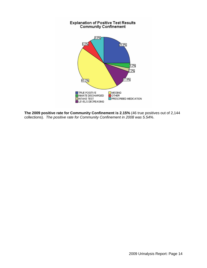

**The 2009 positive rate for Community Confinement is 2.15%** (46 true positives out of 2,144 collections). *The positive rate for Community Confinement in 2008 was 5.54%*.